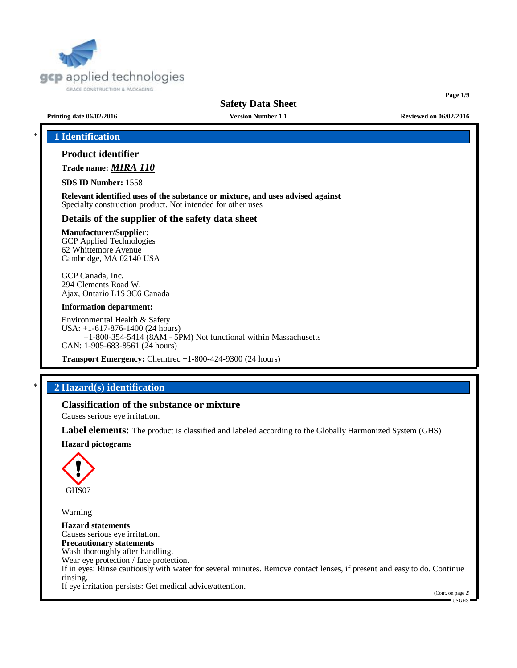

**Page 1/9**

### **Printing date 06/02/2016 Version Number 1.1 Reviewed on 06/02/2016**

## \* **1 Identification**

## **Product identifier**

**Trade name:** *MIRA 110*

**SDS ID Number:** 1558

**Relevant identified uses of the substance or mixture, and uses advised against** Specialty construction product. Not intended for other uses

#### **Details of the supplier of the safety data sheet**

## **Manufacturer/Supplier:**

GCP Applied Technologies 62 Whittemore Avenue Cambridge, MA 02140 USA

GCP Canada, Inc. 294 Clements Road W. Ajax, Ontario L1S 3C6 Canada

#### **Information department:**

Environmental Health & Safety USA: +1-617-876-1400 (24 hours) +1-800-354-5414 (8AM - 5PM) Not functional within Massachusetts CAN: 1-905-683-8561 (24 hours)

**Transport Emergency:** Chemtrec +1-800-424-9300 (24 hours)

## \* **2 Hazard(s) identification**

## **Classification of the substance or mixture**

Causes serious eye irritation.

**Label elements:** The product is classified and labeled according to the Globally Harmonized System (GHS)

#### **Hazard pictograms**



Warning

**Hazard statements** Causes serious eye irritation. **Precautionary statements** Wash thoroughly after handling. Wear eye protection / face protection. If in eyes: Rinse cautiously with water for several minutes. Remove contact lenses, if present and easy to do. Continue rinsing. If eye irritation persists: Get medical advice/attention.

(Cont. on page 2) USGHS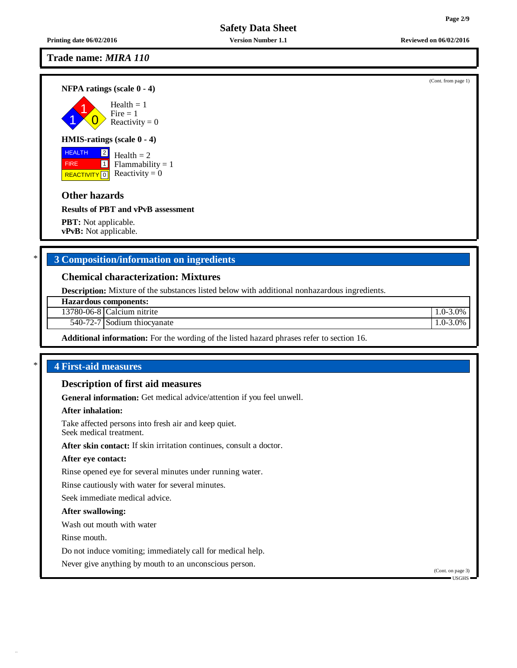## **Trade name:** *MIRA 110*

**NFPA ratings (scale 0 - 4)**

1 1  $\overline{0}$  $Health = 1$  $Fire = 1$ Reactivity  $= 0$ 

## **HMIS-ratings (scale 0 - 4)**

**HEALTH**  FIRE REACTIVITY  $\boxed{0}$  Reactivity = 0  $\boxed{2}$ 1 Health  $= 2$  $Flammability = 1$ 

## **Other hazards**

**Results of PBT and vPvB assessment**

**PBT:** Not applicable. **vPvB:** Not applicable.

## \* **3 Composition/information on ingredients**

### **Chemical characterization: Mixtures**

**Description:** Mixture of the substances listed below with additional nonhazardous ingredients.

**Hazardous components:**

13780-06-8 Calcium nitrite 1.0-3.0%

540-72-7 Sodium thiocyanate 1.0-3.0%

**Additional information:** For the wording of the listed hazard phrases refer to section 16.

## \* **4 First-aid measures**

#### **Description of first aid measures**

**General information:** Get medical advice/attention if you feel unwell.

#### **After inhalation:**

Take affected persons into fresh air and keep quiet. Seek medical treatment.

**After skin contact:** If skin irritation continues, consult a doctor.

#### **After eye contact:**

Rinse opened eye for several minutes under running water.

Rinse cautiously with water for several minutes.

Seek immediate medical advice.

#### **After swallowing:**

Wash out mouth with water

Rinse mouth.

Do not induce vomiting; immediately call for medical help.

Never give anything by mouth to an unconscious person.

(Cont. on page 3)  $\blacksquare$  USGHS

**Printing date 06/02/2016 Version Number 1.1 Reviewed on 06/02/2016**

(Cont. from page 1)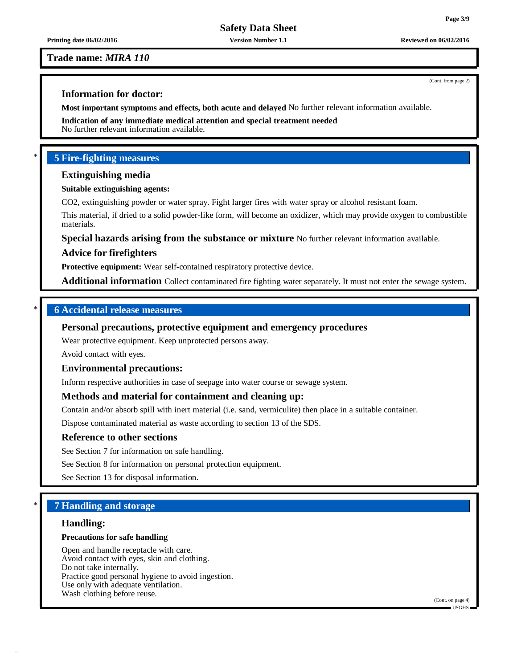**Printing date 06/02/2016 Version Number 1.1 Reviewed on 06/02/2016**

#### **Trade name:** *MIRA 110*

## **Information for doctor:**

**Most important symptoms and effects, both acute and delayed** No further relevant information available.

**Indication of any immediate medical attention and special treatment needed** No further relevant information available.

## \* **5 Fire-fighting measures**

#### **Extinguishing media**

#### **Suitable extinguishing agents:**

CO2, extinguishing powder or water spray. Fight larger fires with water spray or alcohol resistant foam.

This material, if dried to a solid powder-like form, will become an oxidizer, which may provide oxygen to combustible materials.

# **Special hazards arising from the substance or mixture** No further relevant information available. **Advice for firefighters**

**Protective equipment:** Wear self-contained respiratory protective device.

**Additional information** Collect contaminated fire fighting water separately. It must not enter the sewage system.

#### \* **6 Accidental release measures**

#### **Personal precautions, protective equipment and emergency procedures**

Wear protective equipment. Keep unprotected persons away.

Avoid contact with eyes.

#### **Environmental precautions:**

Inform respective authorities in case of seepage into water course or sewage system.

## **Methods and material for containment and cleaning up:**

Contain and/or absorb spill with inert material (i.e. sand, vermiculite) then place in a suitable container.

Dispose contaminated material as waste according to section 13 of the SDS.

#### **Reference to other sections**

See Section 7 for information on safe handling.

See Section 8 for information on personal protection equipment.

See Section 13 for disposal information.

## \* **7 Handling and storage**

#### **Handling:**

#### **Precautions for safe handling**

Open and handle receptacle with care. Avoid contact with eyes, skin and clothing. Do not take internally. Practice good personal hygiene to avoid ingestion. Use only with adequate ventilation. Wash clothing before reuse.

(Cont. on page 4) USGHS

(Cont. from page 2)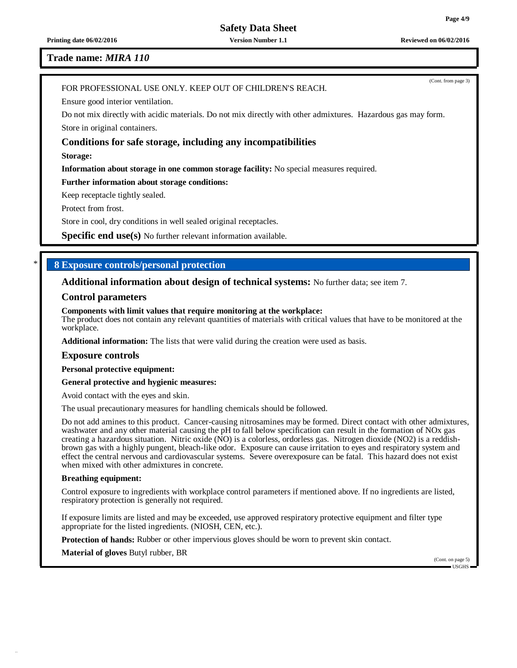(Cont. from page 3)

**Safety Data Sheet**

**Printing date 06/02/2016 Version Number 1.1 Reviewed on 06/02/2016**

#### **Trade name:** *MIRA 110*

#### FOR PROFESSIONAL USE ONLY. KEEP OUT OF CHILDREN'S REACH.

Ensure good interior ventilation.

Do not mix directly with acidic materials. Do not mix directly with other admixtures. Hazardous gas may form. Store in original containers.

#### **Conditions for safe storage, including any incompatibilities**

**Storage:**

**Information about storage in one common storage facility:** No special measures required.

#### **Further information about storage conditions:**

Keep receptacle tightly sealed.

Protect from frost.

Store in cool, dry conditions in well sealed original receptacles.

**Specific end use(s)** No further relevant information available.

#### \* **8 Exposure controls/personal protection**

#### **Additional information about design of technical systems:** No further data; see item 7.

#### **Control parameters**

#### **Components with limit values that require monitoring at the workplace:**

The product does not contain any relevant quantities of materials with critical values that have to be monitored at the workplace.

**Additional information:** The lists that were valid during the creation were used as basis.

#### **Exposure controls**

**Personal protective equipment:**

**General protective and hygienic measures:**

Avoid contact with the eyes and skin.

The usual precautionary measures for handling chemicals should be followed.

Do not add amines to this product. Cancer-causing nitrosamines may be formed. Direct contact with other admixtures, washwater and any other material causing the pH to fall below specification can result in the formation of NOx gas creating a hazardous situation. Nitric oxide (NO) is a colorless, ordorless gas. Nitrogen dioxide (NO2) is a reddishbrown gas with a highly pungent, bleach-like odor. Exposure can cause irritation to eyes and respiratory system and effect the central nervous and cardiovascular systems. Severe overexposure can be fatal. This hazard does not exist when mixed with other admixtures in concrete.

#### **Breathing equipment:**

Control exposure to ingredients with workplace control parameters if mentioned above. If no ingredients are listed, respiratory protection is generally not required.

If exposure limits are listed and may be exceeded, use approved respiratory protective equipment and filter type appropriate for the listed ingredients. (NIOSH, CEN, etc.).

**Protection of hands:** Rubber or other impervious gloves should be worn to prevent skin contact.

**Material of gloves** Butyl rubber, BR

(Cont. on page 5) USGHS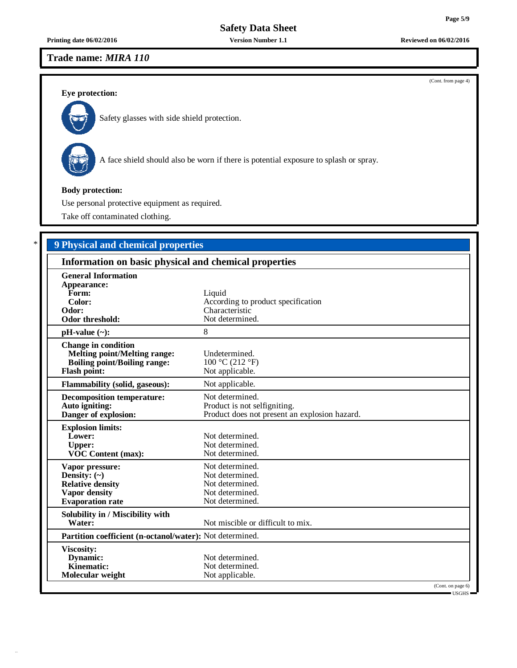### **Printing date 06/02/2016 Version Number 1.1 Reviewed on 06/02/2016**

## **Trade name:** *MIRA 110*

**Eye protection:**



Safety glasses with side shield protection.



A face shield should also be worn if there is potential exposure to splash or spray.

## **Body protection:**

Use personal protective equipment as required.

Take off contaminated clothing.

# \* **9 Physical and chemical properties**

| Information on basic physical and chemical properties                                                                           |                                                                                                  |  |
|---------------------------------------------------------------------------------------------------------------------------------|--------------------------------------------------------------------------------------------------|--|
| <b>General Information</b><br>Appearance:<br>Form:<br>Color:<br>Odor:                                                           | Liquid<br>According to product specification<br>Characteristic                                   |  |
| Odor threshold:                                                                                                                 | Not determined.                                                                                  |  |
| $pH-value$ (~):                                                                                                                 | 8                                                                                                |  |
| <b>Change in condition</b><br><b>Melting point/Melting range:</b><br><b>Boiling point/Boiling range:</b><br><b>Flash point:</b> | Undetermined.<br>100 °C (212 °F)<br>Not applicable.                                              |  |
| <b>Flammability (solid, gaseous):</b>                                                                                           | Not applicable.                                                                                  |  |
| <b>Decomposition temperature:</b><br>Auto igniting:<br>Danger of explosion:                                                     | Not determined.<br>Product is not selfigniting.<br>Product does not present an explosion hazard. |  |
| <b>Explosion limits:</b><br>Lower:<br><b>Upper:</b><br>VOC Content (max):                                                       | Not determined.<br>Not determined.<br>Not determined.                                            |  |
| Vapor pressure:<br>Density: $(\sim)$<br><b>Relative density</b><br><b>Vapor density</b><br><b>Evaporation</b> rate              | Not determined.<br>Not determined.<br>Not determined.<br>Not determined.<br>Not determined.      |  |
| Solubility in / Miscibility with<br>Water:                                                                                      | Not miscible or difficult to mix.                                                                |  |
| Partition coefficient (n-octanol/water): Not determined.                                                                        |                                                                                                  |  |
| Viscosity:<br>Dynamic:<br><b>Kinematic:</b><br>Molecular weight                                                                 | Not determined.<br>Not determined.<br>Not applicable.                                            |  |
|                                                                                                                                 | (Cont. on page 6)<br>$\blacksquare$ DRGHS $\blacksquare$                                         |  |

(Cont. from page 4)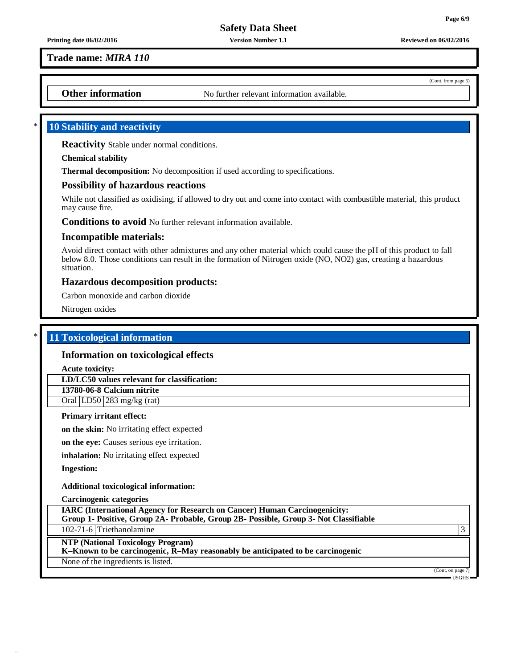**Page 6/9**

**Safety Data Sheet**

**Printing date 06/02/2016 Version Number 1.1 Reviewed on 06/02/2016**

**Trade name:** *MIRA 110*

**Other information** No further relevant information available.

## \* **10 Stability and reactivity**

**Reactivity** Stable under normal conditions.

**Chemical stability**

**Thermal decomposition:** No decomposition if used according to specifications.

## **Possibility of hazardous reactions**

While not classified as oxidising, if allowed to dry out and come into contact with combustible material, this product may cause fire.

**Conditions to avoid** No further relevant information available.

## **Incompatible materials:**

Avoid direct contact with other admixtures and any other material which could cause the pH of this product to fall below 8.0. Those conditions can result in the formation of Nitrogen oxide (NO, NO2) gas, creating a hazardous situation.

## **Hazardous decomposition products:**

Carbon monoxide and carbon dioxide

Nitrogen oxides

## \* **11 Toxicological information**

## **Information on toxicological effects**

**Acute toxicity:**

**LD/LC50 values relevant for classification:**

**13780-06-8 Calcium nitrite**

Oral LD50 283 mg/kg (rat)

## **Primary irritant effect:**

**on the skin:** No irritating effect expected

**on the eye:** Causes serious eye irritation.

**inhalation:** No irritating effect expected

**Ingestion:**

#### **Additional toxicological information:**

**Carcinogenic categories**

| <b>IARC</b> (International Agency for Research on Cancer) Human Carcinogenicity:<br>Group 1- Positive, Group 2A- Probable, Group 2B- Possible, Group 3- Not Classifiable |  |
|--------------------------------------------------------------------------------------------------------------------------------------------------------------------------|--|
| 102-71-6 Triethanolamine                                                                                                                                                 |  |
| <b>NTP (National Toxicology Program)</b><br>K-Known to be carcinogenic, R-May reasonably be anticipated to be carcinogenic                                               |  |
|                                                                                                                                                                          |  |

None of the ingredients is listed.

(Cont. on page USGHS

(Cont. from page 5)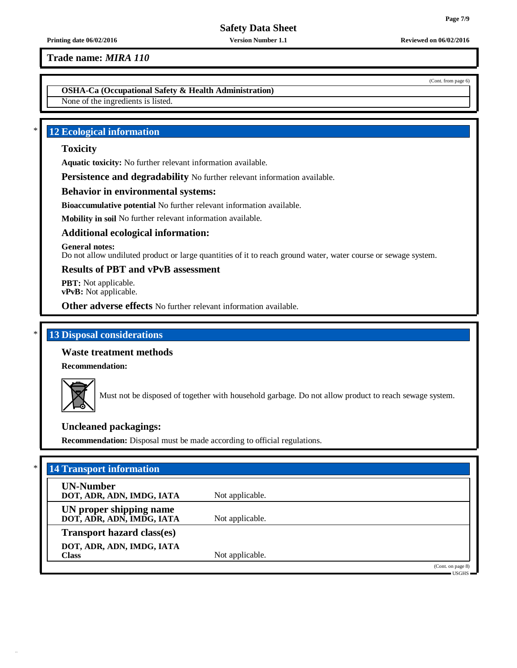**Trade name:** *MIRA 110*

**OSHA-Ca (Occupational Safety & Health Administration)**

None of the ingredients is listed.

## \* **12 Ecological information**

## **Toxicity**

**Aquatic toxicity:** No further relevant information available.

**Persistence and degradability** No further relevant information available.

## **Behavior in environmental systems:**

**Bioaccumulative potential** No further relevant information available.

**Mobility in soil** No further relevant information available.

## **Additional ecological information:**

**General notes:**

Do not allow undiluted product or large quantities of it to reach ground water, water course or sewage system.

## **Results of PBT and vPvB assessment**

**PBT:** Not applicable. **vPvB:** Not applicable.

**Other adverse effects** No further relevant information available.

## \* **13 Disposal considerations**

## **Waste treatment methods**

**Recommendation:**



Must not be disposed of together with household garbage. Do not allow product to reach sewage system.

## **Uncleaned packagings:**

**Recommendation:** Disposal must be made according to official regulations.

| <b>UN-Number</b><br>DOT, ADR, ADN, IMDG, IATA        | Not applicable. |                   |
|------------------------------------------------------|-----------------|-------------------|
| UN proper shipping name<br>DOT, ADR, ADN, IMDG, IATA | Not applicable. |                   |
| <b>Transport hazard class(es)</b>                    |                 |                   |
| DOT, ADR, ADN, IMDG, IATA<br><b>Class</b>            | Not applicable. |                   |
|                                                      |                 | (Cont. on page 8) |

(Cont. from page 6)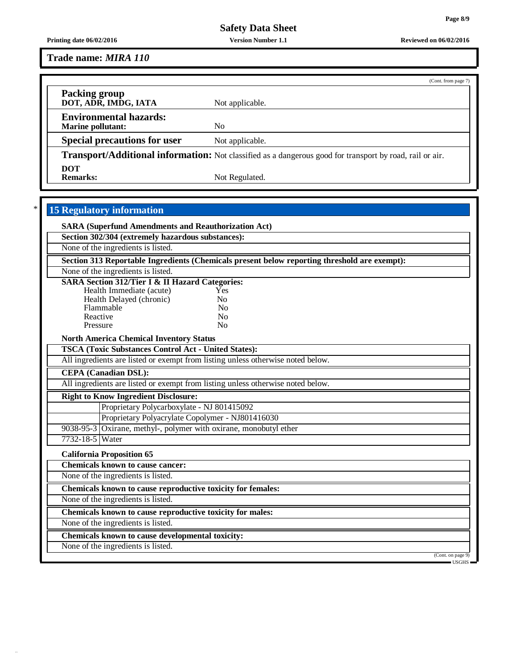**Trade name:** *MIRA 110*

|                                                    | (Cont. from page 7)                                                                                             |
|----------------------------------------------------|-----------------------------------------------------------------------------------------------------------------|
| <b>Packing group</b><br>DOT, ADR, IMDG, IATA       | Not applicable.                                                                                                 |
| <b>Environmental hazards:</b><br>Marine pollutant: | No                                                                                                              |
| <b>Special precautions for user</b>                | Not applicable.                                                                                                 |
|                                                    | <b>Transport/Additional information:</b> Not classified as a dangerous good for transport by road, rail or air. |
| <b>DOT</b><br><b>Remarks:</b>                      | Not Regulated.                                                                                                  |

# \* **15 Regulatory information**

42.2.19

|                 | <b>SARA (Superfund Amendments and Reauthorization Act)</b>                                   |                                    |
|-----------------|----------------------------------------------------------------------------------------------|------------------------------------|
|                 | Section 302/304 (extremely hazardous substances):                                            |                                    |
|                 | None of the ingredients is listed.                                                           |                                    |
|                 | Section 313 Reportable Ingredients (Chemicals present below reporting threshold are exempt): |                                    |
|                 | None of the ingredients is listed.                                                           |                                    |
|                 | <b>SARA Section 312/Tier I &amp; II Hazard Categories:</b>                                   |                                    |
|                 | Health Immediate (acute)<br>Yes                                                              |                                    |
|                 | Health Delayed (chronic)<br>No                                                               |                                    |
|                 | Flammable<br>N <sub>0</sub><br>Reactive<br>No                                                |                                    |
|                 | N <sub>0</sub><br>Pressure                                                                   |                                    |
|                 |                                                                                              |                                    |
|                 | <b>North America Chemical Inventory Status</b>                                               |                                    |
|                 | <b>TSCA (Toxic Substances Control Act - United States):</b>                                  |                                    |
|                 | All ingredients are listed or exempt from listing unless otherwise noted below.              |                                    |
|                 | <b>CEPA</b> (Canadian DSL):                                                                  |                                    |
|                 | All ingredients are listed or exempt from listing unless otherwise noted below.              |                                    |
|                 | <b>Right to Know Ingredient Disclosure:</b>                                                  |                                    |
|                 | Proprietary Polycarboxylate - NJ 801415092                                                   |                                    |
|                 | Proprietary Polyacrylate Copolymer - NJ801416030                                             |                                    |
|                 | 9038-95-3 Oxirane, methyl-, polymer with oxirane, monobutyl ether                            |                                    |
| 7732-18-5 Water |                                                                                              |                                    |
|                 | <b>California Proposition 65</b>                                                             |                                    |
|                 | <b>Chemicals known to cause cancer:</b>                                                      |                                    |
|                 | None of the ingredients is listed.                                                           |                                    |
|                 | Chemicals known to cause reproductive toxicity for females:                                  |                                    |
|                 | None of the ingredients is listed.                                                           |                                    |
|                 | Chemicals known to cause reproductive toxicity for males:                                    |                                    |
|                 | None of the ingredients is listed.                                                           |                                    |
|                 | Chemicals known to cause developmental toxicity:                                             |                                    |
|                 | None of the ingredients is listed.                                                           |                                    |
|                 |                                                                                              | (Cont. on page 9)<br>$-$ usghs $-$ |